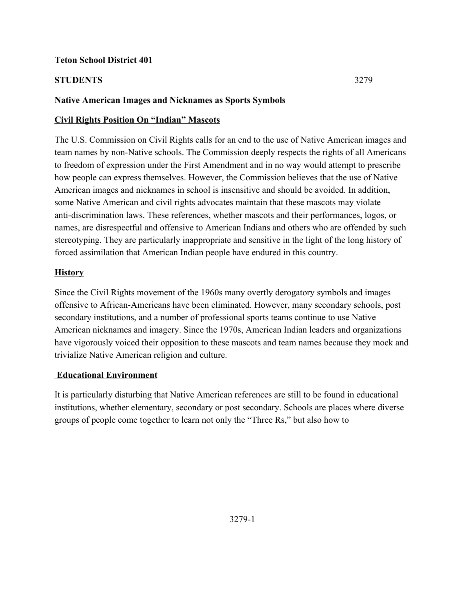### **Teton School District 401**

#### **STUDENTS** 3279

### **Native American Images and Nicknames as Sports Symbols**

#### **Civil Rights Position On "Indian" Mascots**

The U.S. Commission on Civil Rights calls for an end to the use of Native American images and team names by non-Native schools. The Commission deeply respects the rights of all Americans to freedom of expression under the First Amendment and in no way would attempt to prescribe how people can express themselves. However, the Commission believes that the use of Native American images and nicknames in school is insensitive and should be avoided. In addition, some Native American and civil rights advocates maintain that these mascots may violate anti-discrimination laws. These references, whether mascots and their performances, logos, or names, are disrespectful and offensive to American Indians and others who are offended by such stereotyping. They are particularly inappropriate and sensitive in the light of the long history of forced assimilation that American Indian people have endured in this country.

# **History**

Since the Civil Rights movement of the 1960s many overtly derogatory symbols and images offensive to African-Americans have been eliminated. However, many secondary schools, post secondary institutions, and a number of professional sports teams continue to use Native American nicknames and imagery. Since the 1970s, American Indian leaders and organizations have vigorously voiced their opposition to these mascots and team names because they mock and trivialize Native American religion and culture.

# **Educational Environment**

It is particularly disturbing that Native American references are still to be found in educational institutions, whether elementary, secondary or post secondary. Schools are places where diverse groups of people come together to learn not only the "Three Rs," but also how to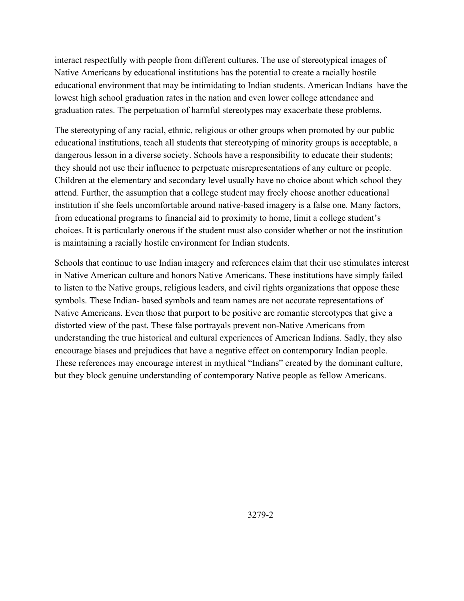interact respectfully with people from different cultures. The use of stereotypical images of Native Americans by educational institutions has the potential to create a racially hostile educational environment that may be intimidating to Indian students. American Indians have the lowest high school graduation rates in the nation and even lower college attendance and graduation rates. The perpetuation of harmful stereotypes may exacerbate these problems.

The stereotyping of any racial, ethnic, religious or other groups when promoted by our public educational institutions, teach all students that stereotyping of minority groups is acceptable, a dangerous lesson in a diverse society. Schools have a responsibility to educate their students; they should not use their influence to perpetuate misrepresentations of any culture or people. Children at the elementary and secondary level usually have no choice about which school they attend. Further, the assumption that a college student may freely choose another educational institution if she feels uncomfortable around native-based imagery is a false one. Many factors, from educational programs to financial aid to proximity to home, limit a college student's choices. It is particularly onerous if the student must also consider whether or not the institution is maintaining a racially hostile environment for Indian students.

Schools that continue to use Indian imagery and references claim that their use stimulates interest in Native American culture and honors Native Americans. These institutions have simply failed to listen to the Native groups, religious leaders, and civil rights organizations that oppose these symbols. These Indian- based symbols and team names are not accurate representations of Native Americans. Even those that purport to be positive are romantic stereotypes that give a distorted view of the past. These false portrayals prevent non-Native Americans from understanding the true historical and cultural experiences of American Indians. Sadly, they also encourage biases and prejudices that have a negative effect on contemporary Indian people. These references may encourage interest in mythical "Indians" created by the dominant culture, but they block genuine understanding of contemporary Native people as fellow Americans.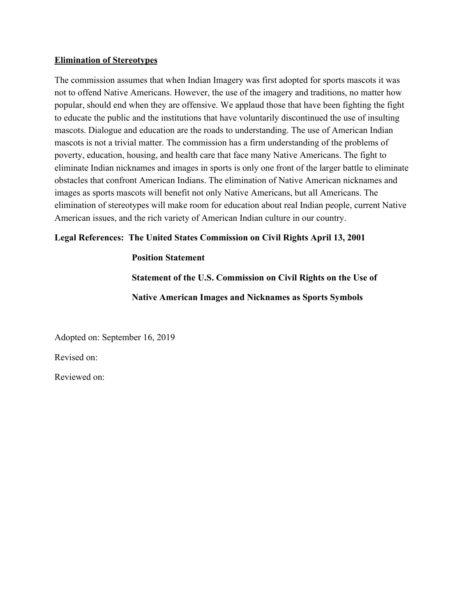#### **Elimination of Stereotypes**

The commission assumes that when Indian Imagery was first adopted for sports mascots it was not to offend Native Americans. However, the use of the imagery and traditions, no matter how popular, should end when they are offensive. We applaud those that have been fighting the fight to educate the public and the institutions that have voluntarily discontinued the use of insulting mascots. Dialogue and education are the roads to understanding. The use of American Indian mascots is not a trivial matter. The commission has a firm understanding of the problems of poverty, education, housing, and health care that face many Native Americans. The fight to eliminate Indian nicknames and images in sports is only one front of the larger battle to eliminate obstacles that confront American Indians. The elimination of Native American nicknames and images as sports mascots will benefit not only Native Americans, but all Americans. The elimination of stereotypes will make room for education about real Indian people, current Native American issues, and the rich variety of American Indian culture in our country.

# **Legal References: The United States Commission on Civil Rights April 13, 2001**

# **Position Statement**

 **Statement of the U.S. Commission on Civil Rights on the Use of Native American Images and Nicknames as Sports Symbols** 

Adopted on: September 16, 2019

Revised on:

Reviewed on: